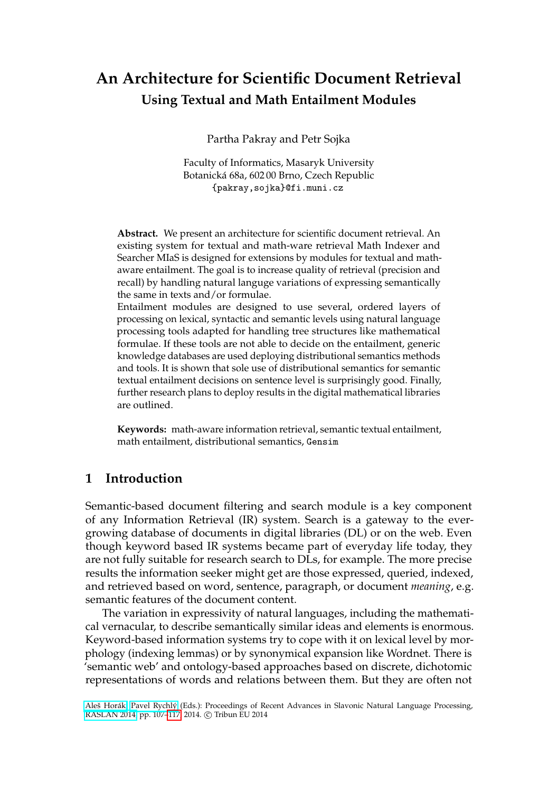# **An Architecture for Scientific Document Retrieval Using Textual and Math Entailment Modules**

Partha Pakray and Petr Sojka

Faculty of Informatics, Masaryk University Botanická 68a, 602 00 Brno, Czech Republic {pakray,sojka}@fi.muni.cz

**Abstract.** We present an architecture for scientific document retrieval. An existing system for textual and math-ware retrieval Math Indexer and Searcher MIaS is designed for extensions by modules for textual and mathaware entailment. The goal is to increase quality of retrieval (precision and recall) by handling natural languge variations of expressing semantically the same in texts and/or formulae.

Entailment modules are designed to use several, ordered layers of processing on lexical, syntactic and semantic levels using natural language processing tools adapted for handling tree structures like mathematical formulae. If these tools are not able to decide on the entailment, generic knowledge databases are used deploying distributional semantics methods and tools. It is shown that sole use of distributional semantics for semantic textual entailment decisions on sentence level is surprisingly good. Finally, further research plans to deploy results in the digital mathematical libraries are outlined.

**Keywords:** math-aware information retrieval, semantic textual entailment, math entailment, distributional semantics, Gensim

## **1 Introduction**

Semantic-based document filtering and search module is a key component of any Information Retrieval (IR) system. Search is a gateway to the evergrowing database of documents in digital libraries (DL) or on the web. Even though keyword based IR systems became part of everyday life today, they are not fully suitable for research search to DLs, for example. The more precise results the information seeker might get are those expressed, queried, indexed, and retrieved based on word, sentence, paragraph, or document *meaning*, e.g. semantic features of the document content.

The variation in expressivity of natural languages, including the mathematical vernacular, to describe semantically similar ideas and elements is enormous. Keyword-based information systems try to cope with it on lexical level by morphology (indexing lemmas) or by synonymical expansion like Wordnet. There is 'semantic web' and ontology-based approaches based on discrete, dichotomic representations of words and relations between them. But they are often not

[Aleš Horák,](http://www.muni.cz/people/1648) [Pavel Rychlý](http://www.muni.cz/people/3692) (Eds.): Proceedings of Recent Advances in Slavonic Natural Language Processing, [RASLAN 2014,](http://raslan2013.nlp-consulting.net/) pp. 107-117, 2014. © Tribun EU 2014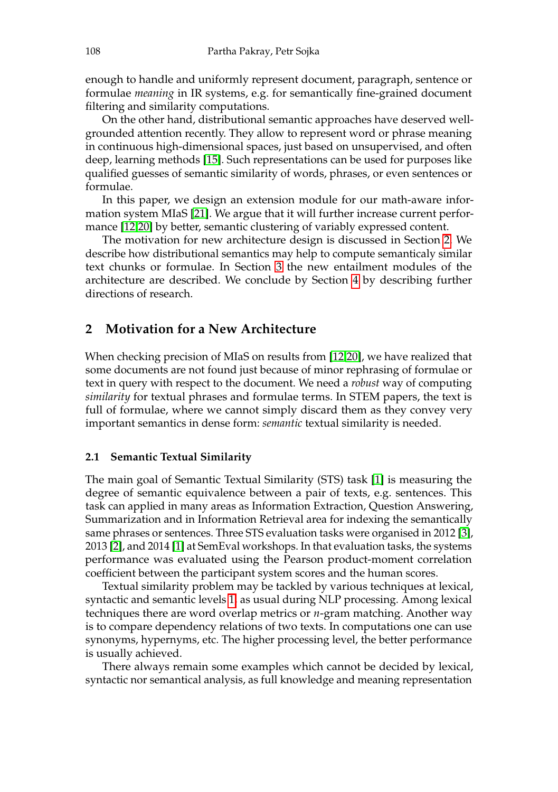enough to handle and uniformly represent document, paragraph, sentence or formulae *meaning* in IR systems, e.g. for semantically fine-grained document filtering and similarity computations.

On the other hand, distributional semantic approaches have deserved wellgrounded attention recently. They allow to represent word or phrase meaning in continuous high-dimensional spaces, just based on unsupervised, and often deep, learning methods [\[15\]](#page-10-0). Such representations can be used for purposes like qualified guesses of semantic similarity of words, phrases, or even sentences or formulae.

In this paper, we design an extension module for our math-aware information system MIaS [\[21\]](#page-10-1). We argue that it will further increase current performance [\[12,](#page-9-1)[20\]](#page-10-2) by better, semantic clustering of variably expressed content.

The motivation for new architecture design is discussed in Section [2.](#page-1-0) We describe how distributional semantics may help to compute semanticaly similar text chunks or formulae. In Section [3](#page-4-0) the new entailment modules of the architecture are described. We conclude by Section [4](#page-8-0) by describing further directions of research.

## <span id="page-1-0"></span>**2 Motivation for a New Architecture**

When checking precision of MIaS on results from [\[12,](#page-9-1)[20\]](#page-10-2), we have realized that some documents are not found just because of minor rephrasing of formulae or text in query with respect to the document. We need a *robust* way of computing *similarity* for textual phrases and formulae terms. In STEM papers, the text is full of formulae, where we cannot simply discard them as they convey very important semantics in dense form: *semantic* textual similarity is needed.

#### **2.1 Semantic Textual Similarity**

The main goal of Semantic Textual Similarity (STS) task [\[1\]](#page-9-2) is measuring the degree of semantic equivalence between a pair of texts, e.g. sentences. This task can applied in many areas as Information Extraction, Question Answering, Summarization and in Information Retrieval area for indexing the semantically same phrases or sentences. Three STS evaluation tasks were organised in 2012 [\[3\]](#page-9-3), 2013 [\[2\]](#page-9-4), and 2014 [\[1\]](#page-9-2) at SemEval workshops. In that evaluation tasks, the systems performance was evaluated using the Pearson product-moment correlation coefficient between the participant system scores and the human scores.

Textual similarity problem may be tackled by various techniques at lexical, syntactic and semantic levels [1,](#page-2-0) as usual during NLP processing. Among lexical techniques there are word overlap metrics or *n*-gram matching. Another way is to compare dependency relations of two texts. In computations one can use synonyms, hypernyms, etc. The higher processing level, the better performance is usually achieved.

There always remain some examples which cannot be decided by lexical, syntactic nor semantical analysis, as full knowledge and meaning representation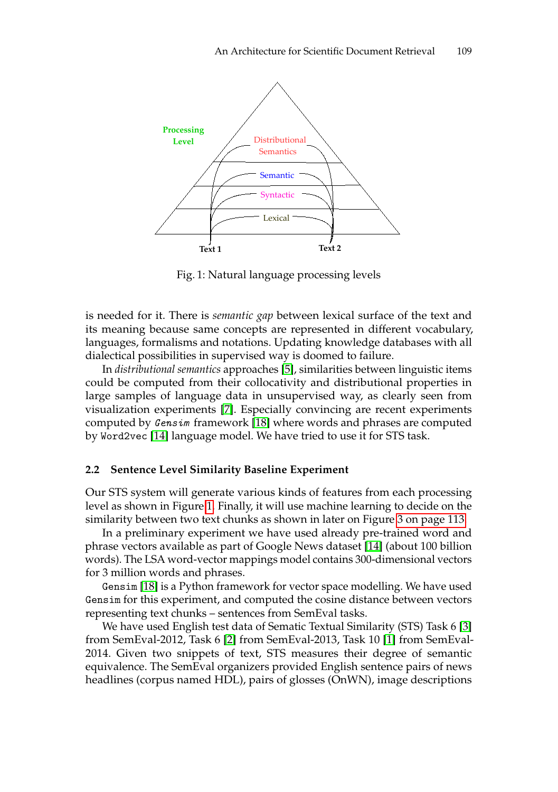<span id="page-2-0"></span>

Fig. 1: Natural language processing levels

is needed for it. There is *semantic gap* between lexical surface of the text and its meaning because same concepts are represented in different vocabulary, languages, formalisms and notations. Updating knowledge databases with all dialectical possibilities in supervised way is doomed to failure.

In *distributional semantics* approaches [\[5\]](#page-9-5), similarities between linguistic items could be computed from their collocativity and distributional properties in large samples of language data in unsupervised way, as clearly seen from visualization experiments [\[7\]](#page-9-6). Especially convincing are recent experiments computed by Gensim framework [\[18\]](#page-10-3) where words and phrases are computed by Word2vec [\[14\]](#page-10-4) language model. We have tried to use it for STS task.

#### **2.2 Sentence Level Similarity Baseline Experiment**

Our STS system will generate various kinds of features from each processing level as shown in Figure [1.](#page-2-0) Finally, it will use machine learning to decide on the similarity between two text chunks as shown in later on Figure [3 on page 113.](#page-6-0)

In a preliminary experiment we have used already pre-trained word and phrase vectors available as part of Google News dataset [\[14\]](#page-10-4) (about 100 billion words). The LSA word-vector mappings model contains 300-dimensional vectors for 3 million words and phrases.

Gensim [\[18\]](#page-10-3) is a Python framework for vector space modelling. We have used Gensim for this experiment, and computed the cosine distance between vectors representing text chunks – sentences from SemEval tasks.

We have used English test data of Sematic Textual Similarity (STS) Task 6 [\[3\]](#page-9-3) from SemEval-2012, Task 6 [\[2\]](#page-9-4) from SemEval-2013, Task 10 [\[1\]](#page-9-2) from SemEval-2014. Given two snippets of text, STS measures their degree of semantic equivalence. The SemEval organizers provided English sentence pairs of news headlines (corpus named HDL), pairs of glosses (OnWN), image descriptions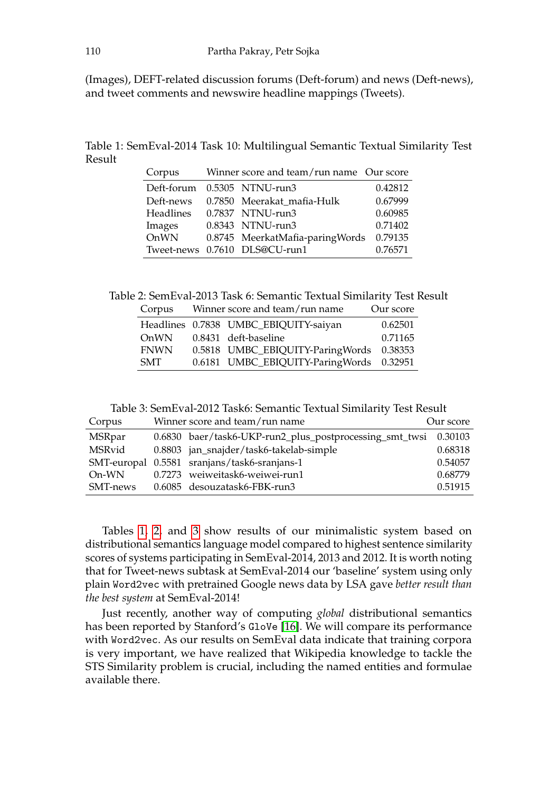(Images), DEFT-related discussion forums (Deft-forum) and news (Deft-news), and tweet comments and newswire headline mappings (Tweets).

<span id="page-3-0"></span>Table 1: SemEval-2014 Task 10: Multilingual Semantic Textual Similarity Test Result

| Corpus     | Winner score and team/run name Our score |         |
|------------|------------------------------------------|---------|
| Deft-forum | 0.5305 NTNU-run3                         | 0.42812 |
| Deft-news  | 0.7850 Meerakat mafia-Hulk               | 0.67999 |
| Headlines  | 0.7837 NTNU-run3                         | 0.60985 |
| Images     | 0.8343 NTNU-run3                         | 0.71402 |
| OnWN       | 0.8745 MeerkatMafia-paringWords          | 0.79135 |
|            | Tweet-news 0.7610 DLS@CU-run1            | 0.76571 |

Table 2: SemEval-2013 Task 6: Semantic Textual Similarity Test Result

| Corpus      | Winner score and team/run name |                                          | Our score |
|-------------|--------------------------------|------------------------------------------|-----------|
|             |                                | Headlines 0.7838 UMBC_EBIQUITY-saiyan    | 0.62501   |
| OnWN        |                                | 0.8431 deft-baseline                     | 0.71165   |
| <b>FNWN</b> |                                | 0.5818 UMBC_EBIQUITY-ParingWords 0.38353 |           |
| <b>SMT</b>  |                                | 0.6181 UMBC_EBIQUITY-ParingWords 0.32951 |           |

Table 3: SemEval-2012 Task6: Semantic Textual Similarity Test Result

| Corpus   | Winner score and team/run name                                  | Our score |
|----------|-----------------------------------------------------------------|-----------|
| MSRpar   | 0.6830 baer/task6-UKP-run2_plus_postprocessing_smt_twsi 0.30103 |           |
| MSRvid   | 0.8803 jan_snajder/task6-takelab-simple                         | 0.68318   |
|          | SMT-europal 0.5581 sranjans/task6-sranjans-1                    | 0.54057   |
| On-WN    | 0.7273 weiweitask6-weiwei-run1                                  | 0.68779   |
| SMT-news | 0.6085 desouzatask6-FBK-run3                                    | 0.51915   |

Tables [1, 2,](#page-3-0) and [3](#page-3-0) show results of our minimalistic system based on distributional semantics language model compared to highest sentence similarity scores of systems participating in SemEval-2014, 2013 and 2012. It is worth noting that for Tweet-news subtask at SemEval-2014 our 'baseline' system using only plain Word2vec with pretrained Google news data by LSA gave *better result than the best system* at SemEval-2014!

Just recently, another way of computing *global* distributional semantics has been reported by Stanford's GloVe [\[16\]](#page-10-5). We will compare its performance with Word2vec. As our results on SemEval data indicate that training corpora is very important, we have realized that Wikipedia knowledge to tackle the STS Similarity problem is crucial, including the named entities and formulae available there.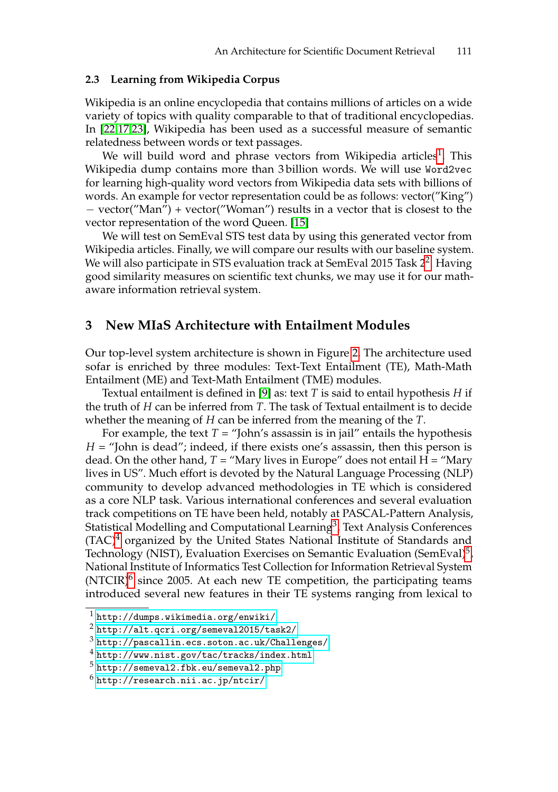#### **2.3 Learning from Wikipedia Corpus**

Wikipedia is an online encyclopedia that contains millions of articles on a wide variety of topics with quality comparable to that of traditional encyclopedias. In [\[22](#page-10-6)[,17](#page-10-7)[,23\]](#page-10-8), Wikipedia has been used as a successful measure of semantic relatedness between words or text passages.

We will build word and phrase vectors from Wikipedia articles $^{\rm 1}.$  $^{\rm 1}.$  $^{\rm 1}.$  This Wikipedia dump contains more than 3 billion words. We will use Word2vec for learning high-quality word vectors from Wikipedia data sets with billions of words. An example for vector representation could be as follows: vector("King") − vector("Man") + vector("Woman") results in a vector that is closest to the vector representation of the word Queen. [\[15\]](#page-10-0)

We will test on SemEval STS test data by using this generated vector from Wikipedia articles. Finally, we will compare our results with our baseline system. We will also participate in STS evaluation track at SemEval [2](#page-4-2)015 Task 2<sup>2</sup>. Having good similarity measures on scientific text chunks, we may use it for our mathaware information retrieval system.

#### <span id="page-4-0"></span>**3 New MIaS Architecture with Entailment Modules**

Our top-level system architecture is shown in Figure [2.](#page-5-0) The architecture used sofar is enriched by three modules: Text-Text Entailment (TE), Math-Math Entailment (ME) and Text-Math Entailment (TME) modules.

Textual entailment is defined in [\[9\]](#page-9-7) as: text *T* is said to entail hypothesis *H* if the truth of *H* can be inferred from *T*. The task of Textual entailment is to decide whether the meaning of *H* can be inferred from the meaning of the *T*.

For example, the text  $T =$  "John's assassin is in jail" entails the hypothesis *H* = "John is dead"; indeed, if there exists one's assassin, then this person is dead. On the other hand,  $T =$  "Mary lives in Europe" does not entail  $H =$  "Mary lives in US". Much effort is devoted by the Natural Language Processing (NLP) community to develop advanced methodologies in TE which is considered as a core NLP task. Various international conferences and several evaluation track competitions on TE have been held, notably at PASCAL-Pattern Analysis, Statistical Modelling and Computational Learning $^3$  $^3$ , Text Analysis Conferences  $(TAC)^4$  $(TAC)^4$  organized by the United States National Institute of Standards and Technology (NIST), Evaluation Exercises on Semantic Evaluation (SemEval) $^5$  $^5$ , National Institute of Informatics Test Collection for Information Retrieval System  $(NTCIR)^6$  $(NTCIR)^6$  since 2005. At each new TE competition, the participating teams introduced several new features in their TE systems ranging from lexical to

<span id="page-4-1"></span><sup>1</sup> <http://dumps.wikimedia.org/enwiki/>

<span id="page-4-2"></span><sup>2</sup> <http://alt.qcri.org/semeval2015/task2/>

<span id="page-4-3"></span> $3$  <http://pascallin.ecs.soton.ac.uk/Challenges/>

<span id="page-4-4"></span><sup>4</sup> <http://www.nist.gov/tac/tracks/index.html>

<span id="page-4-5"></span> $^5$ <http://semeval2.fbk.eu/semeval2.php>

<span id="page-4-6"></span> $^6$ <http://research.nii.ac.jp/ntcir/>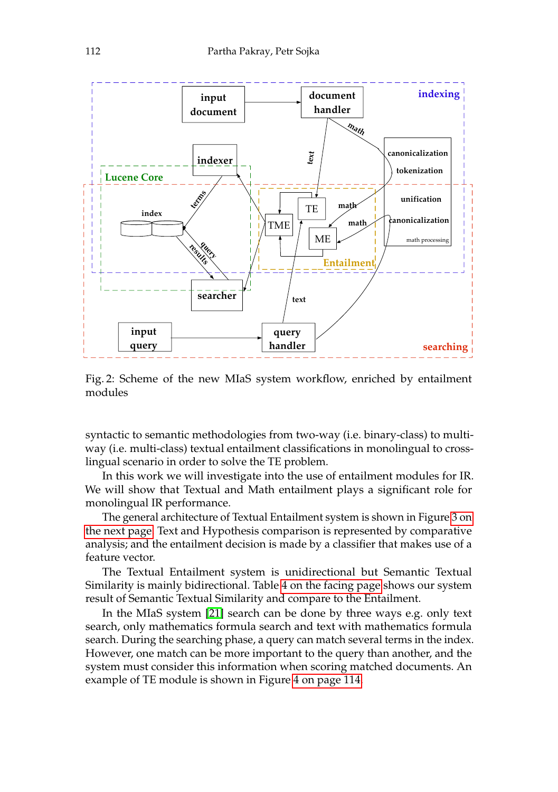<span id="page-5-0"></span>

Fig. 2: Scheme of the new MIaS system workflow, enriched by entailment modules

syntactic to semantic methodologies from two-way (i.e. binary-class) to multiway (i.e. multi-class) textual entailment classifications in monolingual to crosslingual scenario in order to solve the TE problem.

In this work we will investigate into the use of entailment modules for IR. We will show that Textual and Math entailment plays a significant role for monolingual IR performance.

The general architecture of Textual Entailment system is shown in Figure [3 on](#page-6-0) [the next page.](#page-6-0) Text and Hypothesis comparison is represented by comparative analysis; and the entailment decision is made by a classifier that makes use of a feature vector.

The Textual Entailment system is unidirectional but Semantic Textual Similarity is mainly bidirectional. Table [4 on the facing page](#page-6-1) shows our system result of Semantic Textual Similarity and compare to the Entailment.

In the MIaS system [\[21\]](#page-10-1) search can be done by three ways e.g. only text search, only mathematics formula search and text with mathematics formula search. During the searching phase, a query can match several terms in the index. However, one match can be more important to the query than another, and the system must consider this information when scoring matched documents. An example of TE module is shown in Figure [4 on page 114.](#page-7-0)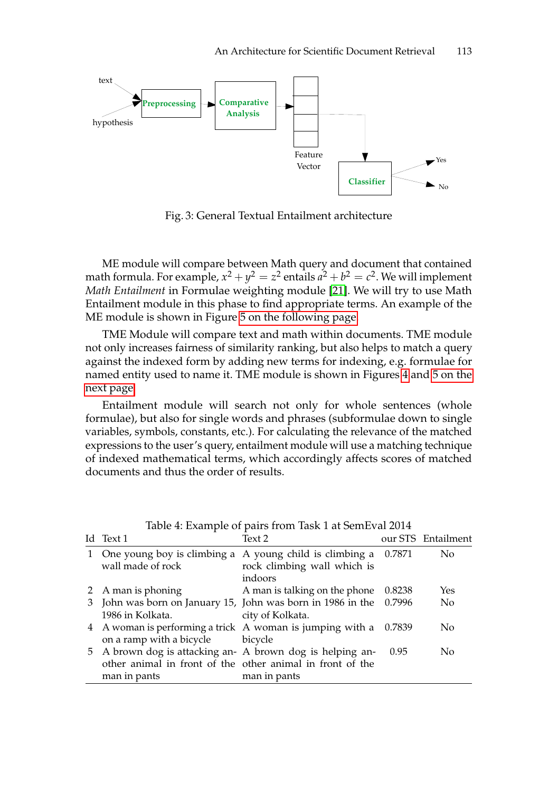<span id="page-6-0"></span>

Fig. 3: General Textual Entailment architecture

ME module will compare between Math query and document that contained math formula. For example*,*  $x^2 + y^2 = z^2$  entails  $a^2 + b^2 = c^2$ . We will implement *Math Entailment* in Formulae weighting module [\[21\]](#page-10-1). We will try to use Math Entailment module in this phase to find appropriate terms. An example of the ME module is shown in Figure [5 on the following page.](#page-7-0)

TME Module will compare text and math within documents. TME module not only increases fairness of similarity ranking, but also helps to match a query against the indexed form by adding new terms for indexing, e.g. formulae for named entity used to name it. TME module is shown in Figures [4](#page-7-0) and [5 on the](#page-7-0) [next page.](#page-7-0)

Entailment module will search not only for whole sentences (whole formulae), but also for single words and phrases (subformulae down to single variables, symbols, constants, etc.). For calculating the relevance of the matched expressions to the user's query, entailment module will use a matching technique of indexed mathematical terms, which accordingly affects scores of matched documents and thus the order of results.

<span id="page-6-1"></span>

| Id Text 1                                                          | Text 2                               |      | our STS Entailment |
|--------------------------------------------------------------------|--------------------------------------|------|--------------------|
| 1 One young boy is climbing a A young child is climbing a 0.7871   |                                      |      | No                 |
| wall made of rock                                                  | rock climbing wall which is          |      |                    |
|                                                                    | indoors                              |      |                    |
| 2 A man is phoning                                                 | A man is talking on the phone 0.8238 |      | Yes                |
| 3 John was born on January 15, John was born in 1986 in the 0.7996 |                                      |      | No                 |
| 1986 in Kolkata.                                                   | city of Kolkata.                     |      |                    |
| 4 A woman is performing a trick A woman is jumping with a 0.7839   |                                      |      | No                 |
| on a ramp with a bicycle bicycle                                   |                                      |      |                    |
| 5 A brown dog is attacking an- A brown dog is helping an-          |                                      | 0.95 | No                 |
| other animal in front of the other animal in front of the          |                                      |      |                    |
| man in pants                                                       | man in pants                         |      |                    |

Table 4: Example of pairs from Task 1 at SemEval 2014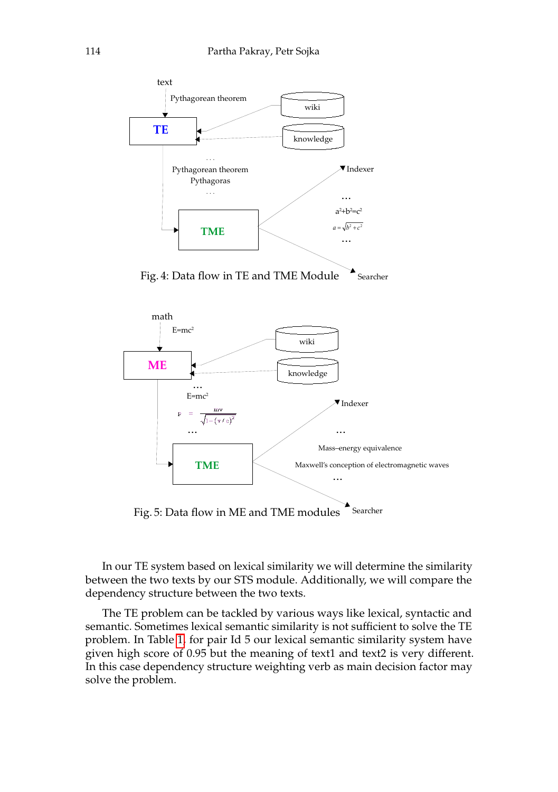<span id="page-7-0"></span>



Fig. 5: Data flow in ME and TME modules

In our TE system based on lexical similarity we will determine the similarity between the two texts by our STS module. Additionally, we will compare the dependency structure between the two texts.

The TE problem can be tackled by various ways like lexical, syntactic and semantic. Sometimes lexical semantic similarity is not sufficient to solve the TE problem. In Table [1,](#page-3-0) for pair Id 5 our lexical semantic similarity system have given high score of 0.95 but the meaning of text1 and text2 is very different. In this case dependency structure weighting verb as main decision factor may solve the problem.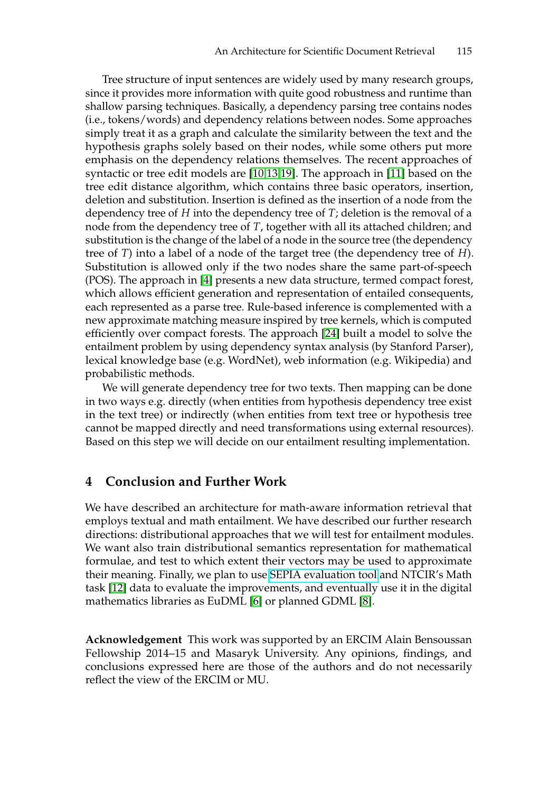Tree structure of input sentences are widely used by many research groups, since it provides more information with quite good robustness and runtime than shallow parsing techniques. Basically, a dependency parsing tree contains nodes (i.e., tokens/words) and dependency relations between nodes. Some approaches simply treat it as a graph and calculate the similarity between the text and the hypothesis graphs solely based on their nodes, while some others put more emphasis on the dependency relations themselves. The recent approaches of syntactic or tree edit models are [\[10,](#page-9-8)[13,](#page-10-9)[19\]](#page-10-10). The approach in [\[11\]](#page-9-9) based on the tree edit distance algorithm, which contains three basic operators, insertion, deletion and substitution. Insertion is defined as the insertion of a node from the dependency tree of *H* into the dependency tree of *T*; deletion is the removal of a node from the dependency tree of *T*, together with all its attached children; and substitution is the change of the label of a node in the source tree (the dependency tree of *T*) into a label of a node of the target tree (the dependency tree of *H*). Substitution is allowed only if the two nodes share the same part-of-speech (POS). The approach in [\[4\]](#page-9-10) presents a new data structure, termed compact forest, which allows efficient generation and representation of entailed consequents, each represented as a parse tree. Rule-based inference is complemented with a new approximate matching measure inspired by tree kernels, which is computed efficiently over compact forests. The approach [\[24\]](#page-10-11) built a model to solve the entailment problem by using dependency syntax analysis (by Stanford Parser), lexical knowledge base (e.g. WordNet), web information (e.g. Wikipedia) and probabilistic methods.

We will generate dependency tree for two texts. Then mapping can be done in two ways e.g. directly (when entities from hypothesis dependency tree exist in the text tree) or indirectly (when entities from text tree or hypothesis tree cannot be mapped directly and need transformations using external resources). Based on this step we will decide on our entailment resulting implementation.

### <span id="page-8-0"></span>**4 Conclusion and Further Work**

We have described an architecture for math-aware information retrieval that employs textual and math entailment. We have described our further research directions: distributional approaches that we will test for entailment modules. We want also train distributional semantics representation for mathematical formulae, and test to which extent their vectors may be used to approximate their meaning. Finally, we plan to use [SEPIA evaluation tool](https://code.google.com/p/sepia/) and NTCIR's Math task [\[12\]](#page-9-1) data to evaluate the improvements, and eventually use it in the digital mathematics libraries as EuDML [\[6\]](#page-9-11) or planned GDML [\[8\]](#page-9-12).

**Acknowledgement** This work was supported by an ERCIM Alain Bensoussan Fellowship 2014–15 and Masaryk University. Any opinions, findings, and conclusions expressed here are those of the authors and do not necessarily reflect the view of the ERCIM or MU.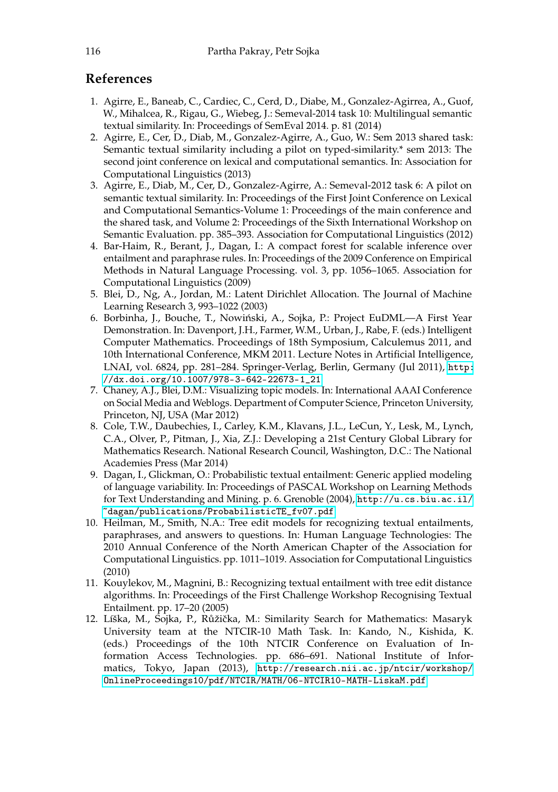## <span id="page-9-0"></span>**References**

- <span id="page-9-2"></span>1. Agirre, E., Baneab, C., Cardiec, C., Cerd, D., Diabe, M., Gonzalez-Agirrea, A., Guof, W., Mihalcea, R., Rigau, G., Wiebeg, J.: Semeval-2014 task 10: Multilingual semantic textual similarity. In: Proceedings of SemEval 2014. p. 81 (2014)
- <span id="page-9-4"></span>2. Agirre, E., Cer, D., Diab, M., Gonzalez-Agirre, A., Guo, W.: Sem 2013 shared task: Semantic textual similarity including a pilot on typed-similarity.\* sem 2013: The second joint conference on lexical and computational semantics. In: Association for Computational Linguistics (2013)
- <span id="page-9-3"></span>3. Agirre, E., Diab, M., Cer, D., Gonzalez-Agirre, A.: Semeval-2012 task 6: A pilot on semantic textual similarity. In: Proceedings of the First Joint Conference on Lexical and Computational Semantics-Volume 1: Proceedings of the main conference and the shared task, and Volume 2: Proceedings of the Sixth International Workshop on Semantic Evaluation. pp. 385–393. Association for Computational Linguistics (2012)
- <span id="page-9-10"></span>4. Bar-Haim, R., Berant, J., Dagan, I.: A compact forest for scalable inference over entailment and paraphrase rules. In: Proceedings of the 2009 Conference on Empirical Methods in Natural Language Processing. vol. 3, pp. 1056–1065. Association for Computational Linguistics (2009)
- <span id="page-9-5"></span>5. Blei, D., Ng, A., Jordan, M.: Latent Dirichlet Allocation. The Journal of Machine Learning Research 3, 993–1022 (2003)
- <span id="page-9-11"></span>6. Borbinha, J., Bouche, T., Nowiński, A., Sojka, P.: Project EuDML—A First Year Demonstration. In: Davenport, J.H., Farmer, W.M., Urban, J., Rabe, F. (eds.) Intelligent Computer Mathematics. Proceedings of 18th Symposium, Calculemus 2011, and 10th International Conference, MKM 2011. Lecture Notes in Artificial Intelligence, LNAI, vol. 6824, pp. 281–284. Springer-Verlag, Berlin, Germany (Jul 2011), [http:](http://dx.doi.org/10.1007/978-3-642-22673-1_21) [//dx.doi.org/10.1007/978-3-642-22673-1\\_21](http://dx.doi.org/10.1007/978-3-642-22673-1_21)
- <span id="page-9-6"></span>7. Chaney, A.J., Blei, D.M.: Visualizing topic models. In: International AAAI Conference on Social Media and Weblogs. Department of Computer Science, Princeton University, Princeton, NJ, USA (Mar 2012)
- <span id="page-9-12"></span>8. Cole, T.W., Daubechies, I., Carley, K.M., Klavans, J.L., LeCun, Y., Lesk, M., Lynch, C.A., Olver, P., Pitman, J., Xia, Z.J.: Developing a 21st Century Global Library for Mathematics Research. National Research Council, Washington, D.C.: The National Academies Press (Mar 2014)
- <span id="page-9-7"></span>9. Dagan, I., Glickman, O.: Probabilistic textual entailment: Generic applied modeling of language variability. In: Proceedings of PASCAL Workshop on Learning Methods for Text Understanding and Mining. p. 6. Grenoble (2004), [http://u.cs.biu.ac.il/](http://u.cs.biu.ac.il/~dagan/publications/ProbabilisticTE_fv07.pdf) [~dagan/publications/ProbabilisticTE\\_fv07.pdf](http://u.cs.biu.ac.il/~dagan/publications/ProbabilisticTE_fv07.pdf)
- <span id="page-9-8"></span>10. Heilman, M., Smith, N.A.: Tree edit models for recognizing textual entailments, paraphrases, and answers to questions. In: Human Language Technologies: The 2010 Annual Conference of the North American Chapter of the Association for Computational Linguistics. pp. 1011–1019. Association for Computational Linguistics (2010)
- <span id="page-9-9"></span>11. Kouylekov, M., Magnini, B.: Recognizing textual entailment with tree edit distance algorithms. In: Proceedings of the First Challenge Workshop Recognising Textual Entailment. pp. 17–20 (2005)
- <span id="page-9-1"></span>12. Líška, M., Šojka, P., Růžička, M.: Similarity Search for Mathematics: Masaryk University team at the NTCIR-10 Math Task. In: Kando, N., Kishida, K. (eds.) Proceedings of the 10th NTCIR Conference on Evaluation of Information Access Technologies. pp. 686–691. National Institute of Informatics, Tokyo, Japan (2013), [http://research.nii.ac.jp/ntcir/workshop/](http://research.nii.ac.jp/ntcir/workshop/OnlineProceedings10/pdf/NTCIR/MATH/06-NTCIR10-MATH-LiskaM.pdf) [OnlineProceedings10/pdf/NTCIR/MATH/06-NTCIR10-MATH-LiskaM.pdf](http://research.nii.ac.jp/ntcir/workshop/OnlineProceedings10/pdf/NTCIR/MATH/06-NTCIR10-MATH-LiskaM.pdf)